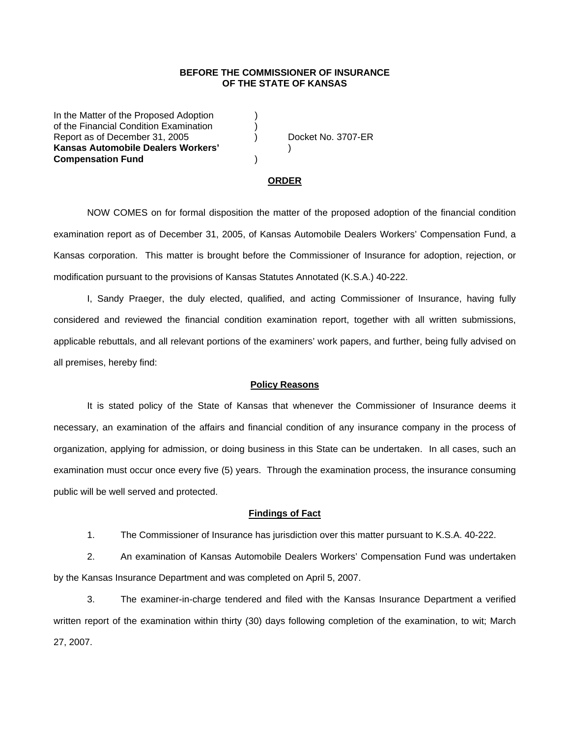## **BEFORE THE COMMISSIONER OF INSURANCE OF THE STATE OF KANSAS**

In the Matter of the Proposed Adoption (1) of the Financial Condition Examination ) Report as of December 31, 2005 (and Separate No. 3707-ER **Kansas Automobile Dealers Workers'** ) **Compensation Fund** )

#### **ORDER**

 NOW COMES on for formal disposition the matter of the proposed adoption of the financial condition examination report as of December 31, 2005, of Kansas Automobile Dealers Workers' Compensation Fund, a Kansas corporation. This matter is brought before the Commissioner of Insurance for adoption, rejection, or modification pursuant to the provisions of Kansas Statutes Annotated (K.S.A.) 40-222.

 I, Sandy Praeger, the duly elected, qualified, and acting Commissioner of Insurance, having fully considered and reviewed the financial condition examination report, together with all written submissions, applicable rebuttals, and all relevant portions of the examiners' work papers, and further, being fully advised on all premises, hereby find:

#### **Policy Reasons**

 It is stated policy of the State of Kansas that whenever the Commissioner of Insurance deems it necessary, an examination of the affairs and financial condition of any insurance company in the process of organization, applying for admission, or doing business in this State can be undertaken. In all cases, such an examination must occur once every five (5) years. Through the examination process, the insurance consuming public will be well served and protected.

#### **Findings of Fact**

1. The Commissioner of Insurance has jurisdiction over this matter pursuant to K.S.A. 40-222.

 2. An examination of Kansas Automobile Dealers Workers' Compensation Fund was undertaken by the Kansas Insurance Department and was completed on April 5, 2007.

 3. The examiner-in-charge tendered and filed with the Kansas Insurance Department a verified written report of the examination within thirty (30) days following completion of the examination, to wit; March 27, 2007.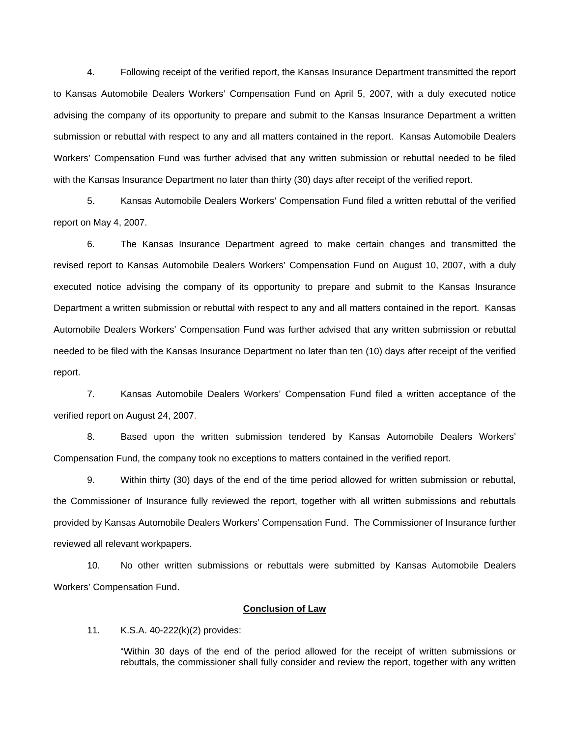4. Following receipt of the verified report, the Kansas Insurance Department transmitted the report to Kansas Automobile Dealers Workers' Compensation Fund on April 5, 2007, with a duly executed notice advising the company of its opportunity to prepare and submit to the Kansas Insurance Department a written submission or rebuttal with respect to any and all matters contained in the report. Kansas Automobile Dealers Workers' Compensation Fund was further advised that any written submission or rebuttal needed to be filed with the Kansas Insurance Department no later than thirty (30) days after receipt of the verified report.

 5. Kansas Automobile Dealers Workers' Compensation Fund filed a written rebuttal of the verified report on May 4, 2007.

 6. The Kansas Insurance Department agreed to make certain changes and transmitted the revised report to Kansas Automobile Dealers Workers' Compensation Fund on August 10, 2007, with a duly executed notice advising the company of its opportunity to prepare and submit to the Kansas Insurance Department a written submission or rebuttal with respect to any and all matters contained in the report. Kansas Automobile Dealers Workers' Compensation Fund was further advised that any written submission or rebuttal needed to be filed with the Kansas Insurance Department no later than ten (10) days after receipt of the verified report.

 7. Kansas Automobile Dealers Workers' Compensation Fund filed a written acceptance of the verified report on August 24, 2007.

8. Based upon the written submission tendered by Kansas Automobile Dealers Workers' Compensation Fund, the company took no exceptions to matters contained in the verified report.

 9. Within thirty (30) days of the end of the time period allowed for written submission or rebuttal, the Commissioner of Insurance fully reviewed the report, together with all written submissions and rebuttals provided by Kansas Automobile Dealers Workers' Compensation Fund. The Commissioner of Insurance further reviewed all relevant workpapers.

 10. No other written submissions or rebuttals were submitted by Kansas Automobile Dealers Workers' Compensation Fund.

### **Conclusion of Law**

11. K.S.A. 40-222(k)(2) provides:

"Within 30 days of the end of the period allowed for the receipt of written submissions or rebuttals, the commissioner shall fully consider and review the report, together with any written